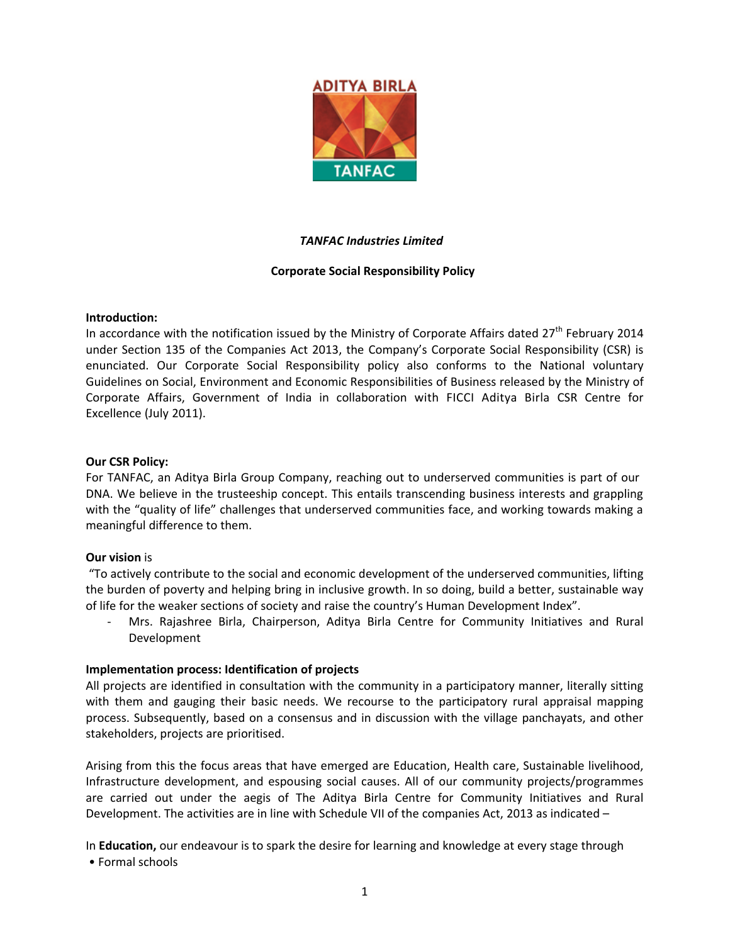

# *TANFAC Industries Limited*

# **Corporate Social Responsibility Policy**

### **Introduction:**

In accordance with the notification issued by the Ministry of Corporate Affairs dated  $27<sup>th</sup>$  February 2014 under Section 135 of the Companies Act 2013, the Company's Corporate Social Responsibility (CSR) is enunciated. Our Corporate Social Responsibility policy also conforms to the National voluntary Guidelines on Social, Environment and Economic Responsibilities of Business released by the Ministry of Corporate Affairs, Government of India in collaboration with FICCI Aditya Birla CSR Centre for Excellence (July 2011).

### **Our CSR Policy:**

For TANFAC, an Aditya Birla Group Company, reaching out to underserved communities is part of our DNA. We believe in the trusteeship concept. This entails transcending business interests and grappling with the "quality of life" challenges that underserved communities face, and working towards making a meaningful difference to them.

# **Our vision** is

 "To actively contribute to the social and economic development of the underserved communities, lifting the burden of poverty and helping bring in inclusive growth. In so doing, build a better, sustainable way of life for the weaker sections of society and raise the country's Human Development Index".

- Mrs. Rajashree Birla, Chairperson, Aditya Birla Centre for Community Initiatives and Rural Development

### **Implementation process: Identification of projects**

All projects are identified in consultation with the community in a participatory manner, literally sitting with them and gauging their basic needs. We recourse to the participatory rural appraisal mapping process. Subsequently, based on a consensus and in discussion with the village panchayats, and other stakeholders, projects are prioritised.

Arising from this the focus areas that have emerged are Education, Health care, Sustainable livelihood, Infrastructure development, and espousing social causes. All of our community projects/programmes are carried out under the aegis of The Aditya Birla Centre for Community Initiatives and Rural Development. The activities are in line with Schedule VII of the companies Act, 2013 as indicated –

In **Education,** our endeavour is to spark the desire for learning and knowledge at every stage through

• Formal schools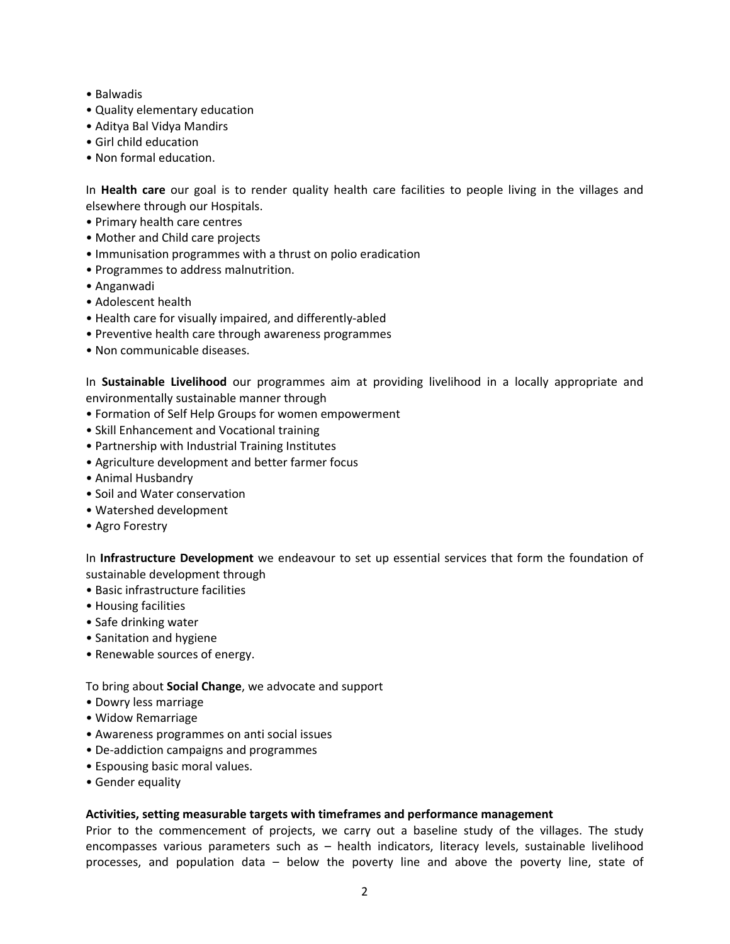- Balwadis
- Quality elementary education
- Aditya Bal Vidya Mandirs
- Girl child education
- Non formal education.

In **Health care** our goal is to render quality health care facilities to people living in the villages and elsewhere through our Hospitals.

- Primary health care centres
- Mother and Child care projects
- Immunisation programmes with a thrust on polio eradication
- Programmes to address malnutrition.
- Anganwadi
- Adolescent health
- Health care for visually impaired, and differently-abled
- Preventive health care through awareness programmes
- Non communicable diseases.

In **Sustainable Livelihood** our programmes aim at providing livelihood in a locally appropriate and environmentally sustainable manner through

- Formation of Self Help Groups for women empowerment
- Skill Enhancement and Vocational training
- Partnership with Industrial Training Institutes
- Agriculture development and better farmer focus
- Animal Husbandry
- Soil and Water conservation
- Watershed development
- Agro Forestry

In **Infrastructure Development** we endeavour to set up essential services that form the foundation of sustainable development through

- Basic infrastructure facilities
- Housing facilities
- Safe drinking water
- Sanitation and hygiene
- Renewable sources of energy.

To bring about **Social Change**, we advocate and support

- Dowry less marriage
- Widow Remarriage
- Awareness programmes on anti social issues
- De-addiction campaigns and programmes
- Espousing basic moral values.
- Gender equality

# **Activities, setting measurable targets with timeframes and performance management**

Prior to the commencement of projects, we carry out a baseline study of the villages. The study encompasses various parameters such as – health indicators, literacy levels, sustainable livelihood processes, and population data – below the poverty line and above the poverty line, state of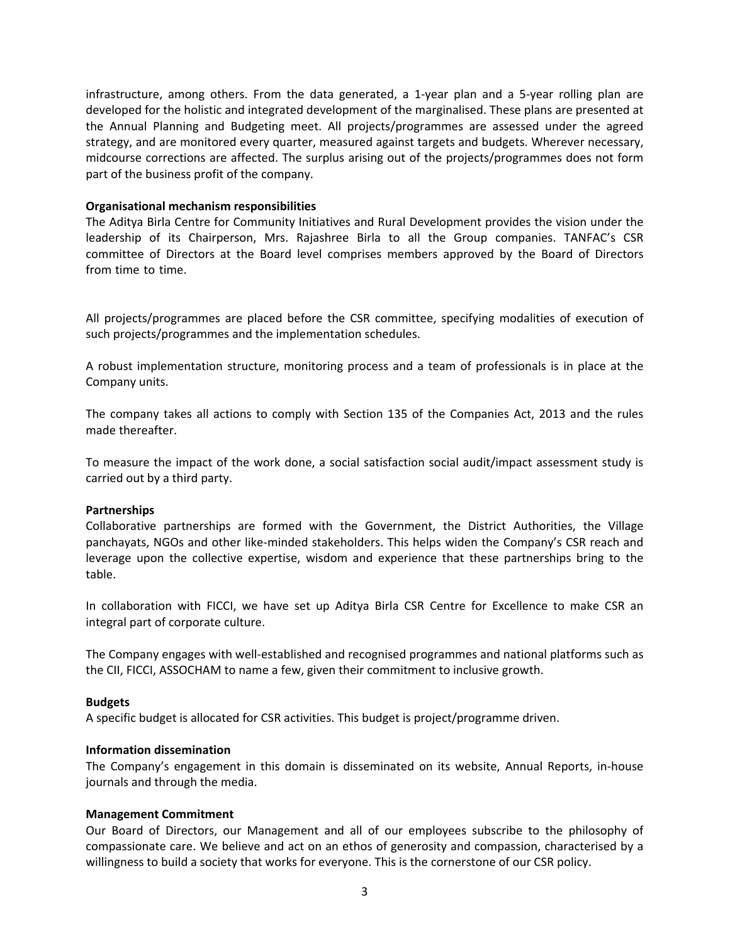infrastructure, among others. From the data generated, a 1-year plan and a 5-year rolling plan are developed for the holistic and integrated development of the marginalised. These plans are presented at the Annual Planning and Budgeting meet. All projects/programmes are assessed under the agreed strategy, and are monitored every quarter, measured against targets and budgets. Wherever necessary, midcourse corrections are affected. The surplus arising out of the projects/programmes does not form part of the business profit of the company.

### **Organisational mechanism responsibilities**

The Aditya Birla Centre for Community Initiatives and Rural Development provides the vision under the leadership of its Chairperson, Mrs. Rajashree Birla to all the Group companies. TANFAC's CSR committee of Directors at the Board level comprises members approved by the Board of Directors from time to time.

All projects/programmes are placed before the CSR committee, specifying modalities of execution of such projects/programmes and the implementation schedules.

A robust implementation structure, monitoring process and a team of professionals is in place at the Company units.

The company takes all actions to comply with Section 135 of the Companies Act, 2013 and the rules made thereafter.

To measure the impact of the work done, a social satisfaction social audit/impact assessment study is carried out by a third party.

### **Partnerships**

Collaborative partnerships are formed with the Government, the District Authorities, the Village panchayats, NGOs and other like-minded stakeholders. This helps widen the Company's CSR reach and leverage upon the collective expertise, wisdom and experience that these partnerships bring to the table.

In collaboration with FICCI, we have set up Aditya Birla CSR Centre for Excellence to make CSR an integral part of corporate culture.

The Company engages with well-established and recognised programmes and national platforms such as the CII, FICCI, ASSOCHAM to name a few, given their commitment to inclusive growth.

### **Budgets**

A specific budget is allocated for CSR activities. This budget is project/programme driven.

### **Information dissemination**

The Company's engagement in this domain is disseminated on its website, Annual Reports, in-house journals and through the media.

### **Management Commitment**

Our Board of Directors, our Management and all of our employees subscribe to the philosophy of compassionate care. We believe and act on an ethos of generosity and compassion, characterised by a willingness to build a society that works for everyone. This is the cornerstone of our CSR policy.